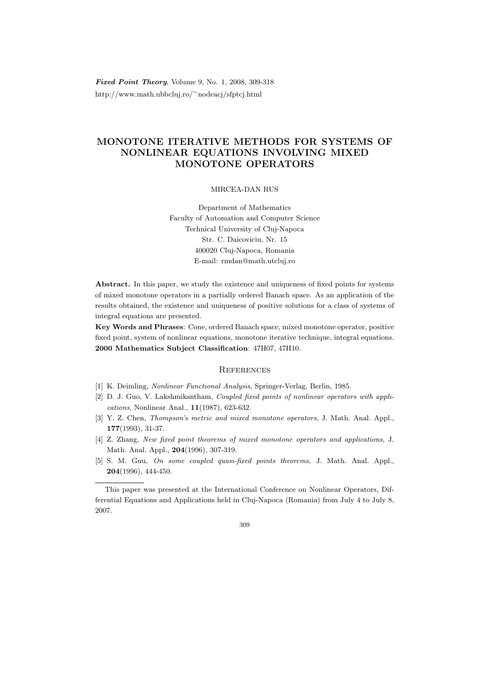Fixed Point Theory, Volume 9, No. 1, 2008, 309-318 http://www.math.ubbcluj.ro/<sup>∼</sup>nodeacj/sfptcj.html

# MONOTONE ITERATIVE METHODS FOR SYSTEMS OF NONLINEAR EQUATIONS INVOLVING MIXED MONOTONE OPERATORS

#### MIRCEA-DAN RUS

Department of Mathematics Faculty of Automation and Computer Science Technical University of Cluj-Napoca Str. C. Daicoviciu, Nr. 15 400020 Cluj-Napoca, Romania E-mail: rmdan@math.utcluj.ro

Abstract. In this paper, we study the existence and uniqueness of fixed points for systems of mixed monotone operators in a partially ordered Banach space. As an application of the results obtained, the existence and uniqueness of positive solutions for a class of systems of integral equations are presented.

Key Words and Phrases: Cone, ordered Banach space, mixed monotone operator, positive fixed point, system of nonlinear equations, monotone iterative technique, integral equations. 2000 Mathematics Subject Classification: 47H07, 47H10.

### **REFERENCES**

- [1] K. Deimling, Nonlinear Functional Analysis, Springer-Verlag, Berlin, 1985.
- [2] D. J. Guo, V. Lakshmikantham, Coupled fixed points of nonlinear operators with applications, Nonlinear Anal., 11(1987), 623-632.
- [3] Y. Z. Chen, *Thompson's metric and mixed monotone operators*, J. Math. Anal. Appl., 177(1993), 31-37.
- [4] Z. Zhang, New fixed point theorems of mixed monotone operators and applications, J. Math. Anal. Appl., 204(1996), 307-319.
- [5] S. M. Guu, On some coupled quasi-fixed points theorems, J. Math. Anal. Appl., 204(1996), 444-450.

#### 309

This paper was presented at the International Conference on Nonlinear Operators, Differential Equations and Applications held in Cluj-Napoca (Romania) from July 4 to July 8, 2007.